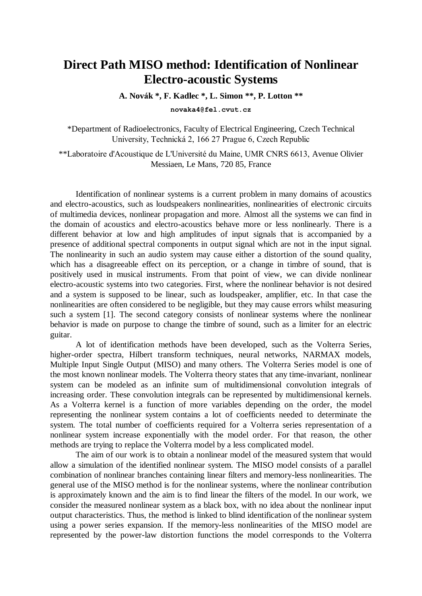## **Direct Path MISO method: Identification of Nonlinear Electro-acoustic Systems**

**A. Novák \*, F. Kadlec \*, L. Simon \*\*, P. Lotton \*\***

**novaka4@fel.cvut.cz**

\*Department of Radioelectronics, Faculty of Electrical Engineering, Czech Technical University, Technická 2, 166 27 Prague 6, Czech Republic

\*\*Laboratoire d'Acoustique de L'Université du Maine, UMR CNRS 6613, Avenue Olivier Messiaen, Le Mans, 720 85, France

Identification of nonlinear systems is a current problem in many domains of acoustics and electro-acoustics, such as loudspeakers nonlinearities, nonlinearities of electronic circuits of multimedia devices, nonlinear propagation and more. Almost all the systems we can find in the domain of acoustics and electro-acoustics behave more or less nonlinearly. There is a different behavior at low and high amplitudes of input signals that is accompanied by a presence of additional spectral components in output signal which are not in the input signal. The nonlinearity in such an audio system may cause either a distortion of the sound quality, which has a disagreeable effect on its perception, or a change in timbre of sound, that is positively used in musical instruments. From that point of view, we can divide nonlinear electro-acoustic systems into two categories. First, where the nonlinear behavior is not desired and a system is supposed to be linear, such as loudspeaker, amplifier, etc. In that case the nonlinearities are often considered to be negligible, but they may cause errors whilst measuring such a system [1]. The second category consists of nonlinear systems where the nonlinear behavior is made on purpose to change the timbre of sound, such as a limiter for an electric guitar.

A lot of identification methods have been developed, such as the Volterra Series, higher-order spectra, Hilbert transform techniques, neural networks, NARMAX models, Multiple Input Single Output (MISO) and many others. The Volterra Series model is one of the most known nonlinear models. The Volterra theory states that any time-invariant, nonlinear system can be modeled as an infinite sum of multidimensional convolution integrals of increasing order. These convolution integrals can be represented by multidimensional kernels. As a Volterra kernel is a function of more variables depending on the order, the model representing the nonlinear system contains a lot of coefficients needed to determinate the system. The total number of coefficients required for a Volterra series representation of a nonlinear system increase exponentially with the model order. For that reason, the other methods are trying to replace the Volterra model by a less complicated model.

The aim of our work is to obtain a nonlinear model of the measured system that would allow a simulation of the identified nonlinear system. The MISO model consists of a parallel combination of nonlinear branches containing linear filters and memory-less nonlinearities. The general use of the MISO method is for the nonlinear systems, where the nonlinear contribution is approximately known and the aim is to find linear the filters of the model. In our work, we consider the measured nonlinear system as a black box, with no idea about the nonlinear input output characteristics. Thus, the method is linked to blind identification of the nonlinear system using a power series expansion. If the memory-less nonlinearities of the MISO model are represented by the power-law distortion functions the model corresponds to the Volterra